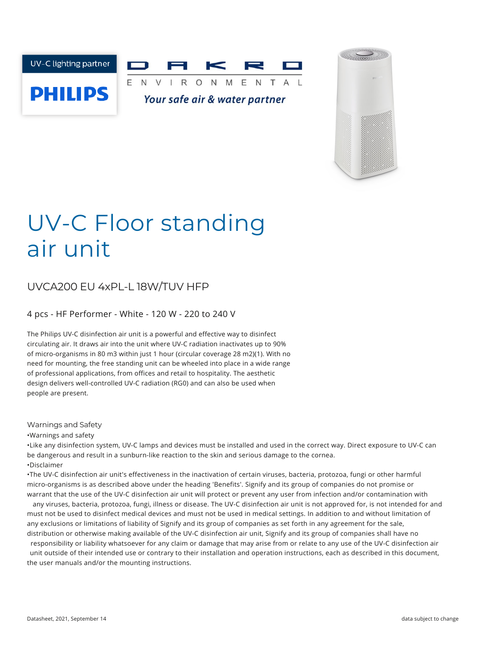



# UV-C Floor standing air unit

## UVCA200 EU 4xPL-L 18W/TUV HFP

4 pcs - HF Performer - White - 120 W - 220 to 240 V

The Philips UV-C disinfection air unit is a powerful and effective way to disinfect circulating air. It draws air into the unit where UV-C radiation inactivates up to 90% of micro-organisms in 80 m3 within just 1 hour (circular coverage 28 m2)(1). With no need for mounting, the free standing unit can be wheeled into place in a wide range of professional applications, from offices and retail to hospitality. The aesthetic design delivers well-controlled UV-C radiation (RG0) and can also be used when people are present.

#### Warnings and Safety

•Warnings and safety

•Like any disinfection system, UV-C lamps and devices must be installed and used in the correct way. Direct exposure to UV-C can be dangerous and result in a sunburn-like reaction to the skin and serious damage to the cornea. •Disclaimer

•The UV-C disinfection air unit's effectiveness in the inactivation of certain viruses, bacteria, protozoa, fungi or other harmful micro-organisms is as described above under the heading 'Benefits'. Signify and its group of companies do not promise or warrant that the use of the UV-C disinfection air unit will protect or prevent any user from infection and/or contamination with

any viruses, bacteria, protozoa, fungi, illness or disease. The UV-C disinfection air unit is not approved for, is not intended for and must not be used to disinfect medical devices and must not be used in medical settings. In addition to and without limitation of any exclusions or limitations of liability of Signify and its group of companies as set forth in any agreement for the sale, distribution or otherwise making available of the UV-C disinfection air unit, Signify and its group of companies shall have no

responsibility or liability whatsoever for any claim or damage that may arise from or relate to any use of the UV-C disinfection air unit outside of their intended use or contrary to their installation and operation instructions, each as described in this document, the user manuals and/or the mounting instructions.